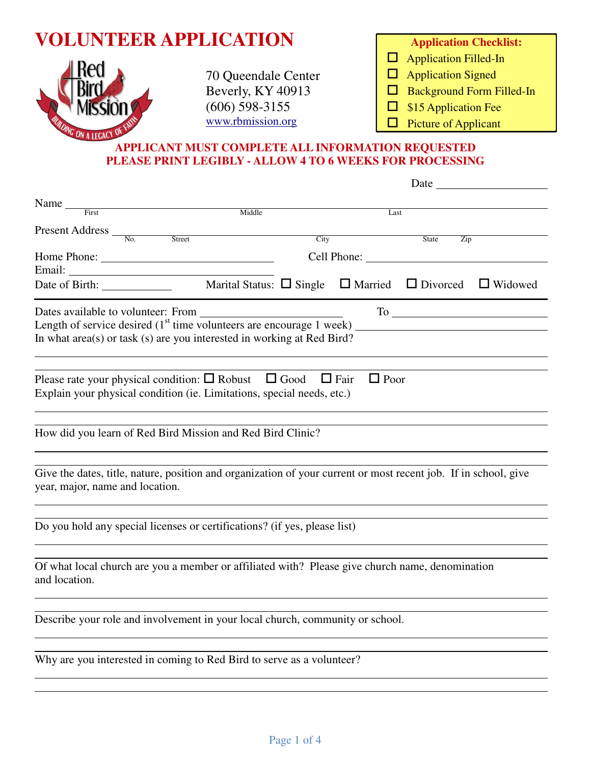| <b>VOLUNTEER APPLICATION</b>                                                                                                                                        |                     | <b>Application Checklist:</b>                                                                                   |  |  |
|---------------------------------------------------------------------------------------------------------------------------------------------------------------------|---------------------|-----------------------------------------------------------------------------------------------------------------|--|--|
|                                                                                                                                                                     |                     | <b>Application Filled-In</b>                                                                                    |  |  |
|                                                                                                                                                                     | 70 Queendale Center | <b>Application Signed</b><br>□                                                                                  |  |  |
|                                                                                                                                                                     | Beverly, KY 40913   | <b>Background Form Filled-In</b>                                                                                |  |  |
|                                                                                                                                                                     | $(606)$ 598-3155    |                                                                                                                 |  |  |
|                                                                                                                                                                     | www.rbmission.org   | \$15 Application Fee                                                                                            |  |  |
| <b>G ON A LEGACY</b>                                                                                                                                                |                     | <b>Picture of Applicant</b>                                                                                     |  |  |
| APPLICANT MUST COMPLETE ALL INFORMATION REQUESTED<br><b>PLEASE PRINT LEGIBLY - ALLOW 4 TO 6 WEEKS FOR PROCESSING</b>                                                |                     |                                                                                                                 |  |  |
|                                                                                                                                                                     |                     |                                                                                                                 |  |  |
| Name First Middle                                                                                                                                                   |                     |                                                                                                                 |  |  |
|                                                                                                                                                                     |                     | Last                                                                                                            |  |  |
| Present Address No. Street                                                                                                                                          | City                | State<br>Zip                                                                                                    |  |  |
|                                                                                                                                                                     |                     |                                                                                                                 |  |  |
|                                                                                                                                                                     |                     |                                                                                                                 |  |  |
|                                                                                                                                                                     |                     | $\Box$ Widowed                                                                                                  |  |  |
|                                                                                                                                                                     |                     |                                                                                                                 |  |  |
| Length of service desired $(1st$ time volunteers are encourage 1 week)<br>In what area(s) or task (s) are you interested in working at Red Bird?                    |                     |                                                                                                                 |  |  |
| Please rate your physical condition: $\Box$ Robust $\Box$ Good $\Box$ Fair<br>$\Box$ Poor<br>Explain your physical condition (ie. Limitations, special needs, etc.) |                     |                                                                                                                 |  |  |
| How did you learn of Red Bird Mission and Red Bird Clinic?                                                                                                          |                     |                                                                                                                 |  |  |
| year, major, name and location.                                                                                                                                     |                     | Give the dates, title, nature, position and organization of your current or most recent job. If in school, give |  |  |
| Do you hold any special licenses or certifications? (if yes, please list)                                                                                           |                     |                                                                                                                 |  |  |
| Of what local church are you a member or affiliated with? Please give church name, denomination<br>and location.                                                    |                     |                                                                                                                 |  |  |
| Describe your role and involvement in your local church, community or school.                                                                                       |                     |                                                                                                                 |  |  |
| Why are you interested in coming to Red Bird to serve as a volunteer?                                                                                               |                     |                                                                                                                 |  |  |
|                                                                                                                                                                     |                     |                                                                                                                 |  |  |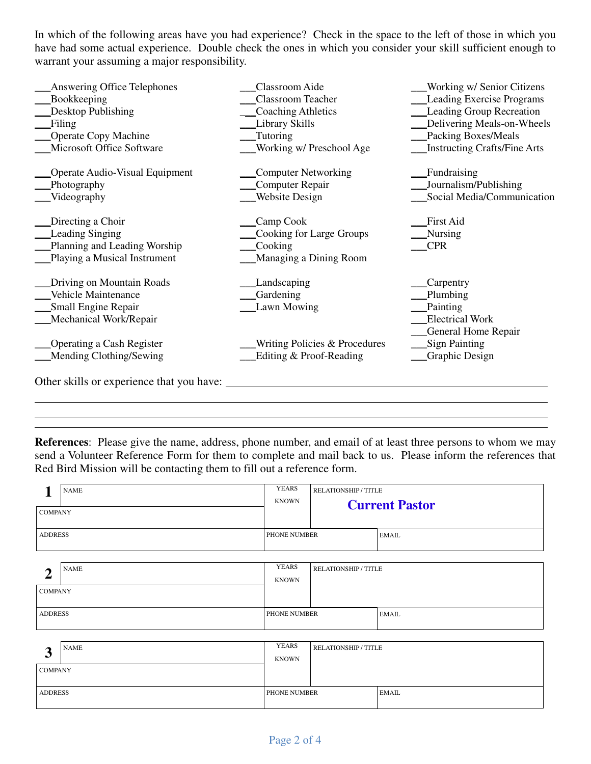In which of the following areas have you had experience? Check in the space to the left of those in which you have had some actual experience. Double check the ones in which you consider your skill sufficient enough to warrant your assuming a major responsibility.

| Answering Office Telephones               | Classroom Aide                | Working w/ Senior Citizens          |
|-------------------------------------------|-------------------------------|-------------------------------------|
| Bookkeeping                               | Classroom Teacher             | <b>Leading Exercise Programs</b>    |
| Desktop Publishing                        | Coaching Athletics            | <b>Leading Group Recreation</b>     |
| Filing                                    | Library Skills                | Delivering Meals-on-Wheels          |
| <b>Operate Copy Machine</b>               | Tutoring                      | Packing Boxes/Meals                 |
| Microsoft Office Software                 | Working w/ Preschool Age      | <b>Instructing Crafts/Fine Arts</b> |
| Operate Audio-Visual Equipment            | <b>Computer Networking</b>    | Fundraising                         |
| Photography                               | Computer Repair               | Journalism/Publishing               |
| Videography                               | <b>Website Design</b>         | Social Media/Communication          |
| Directing a Choir                         | Camp Cook                     | <b>First Aid</b>                    |
| <b>Leading Singing</b>                    | Cooking for Large Groups      | Nursing                             |
| Planning and Leading Worship              | Cooking                       | CPR                                 |
| Playing a Musical Instrument              | Managing a Dining Room        |                                     |
| Driving on Mountain Roads                 | Landscaping                   | Carpentry                           |
| Vehicle Maintenance                       | Gardening                     | Plumbing                            |
| Small Engine Repair                       | Lawn Mowing                   | Painting                            |
| Mechanical Work/Repair                    |                               | <b>Electrical Work</b>              |
|                                           |                               | General Home Repair                 |
| Operating a Cash Register                 | Writing Policies & Procedures | Sign Painting                       |
| Mending Clothing/Sewing                   | Editing & Proof-Reading       | <b>Graphic Design</b>               |
| Other skills or experience that you have: |                               |                                     |

 $\overline{a}$ 

**References**: Please give the name, address, phone number, and email of at least three persons to whom we may send a Volunteer Reference Form for them to complete and mail back to us. Please inform the references that Red Bird Mission will be contacting them to fill out a reference form.

| ◀                                | <b>NAME</b> | <b>YEARS</b>          | <b>RELATIONSHIP/TITLE</b> |              |
|----------------------------------|-------------|-----------------------|---------------------------|--------------|
| <b>COMPANY</b>                   |             | <b>KNOWN</b>          | <b>Current Pastor</b>     |              |
| <b>ADDRESS</b>                   |             | PHONE NUMBER          |                           | <b>EMAIL</b> |
| $\overline{2}$<br><b>COMPANY</b> | <b>NAME</b> | YEARS<br><b>KNOWN</b> | <b>RELATIONSHIP/TITLE</b> |              |
| <b>ADDRESS</b>                   |             | PHONE NUMBER          |                           | <b>EMAIL</b> |
| 3<br><b>COMPANY</b>              | <b>NAME</b> | YEARS<br><b>KNOWN</b> | RELATIONSHIP / TITLE      |              |
| <b>ADDRESS</b>                   |             | PHONE NUMBER          |                           | <b>EMAIL</b> |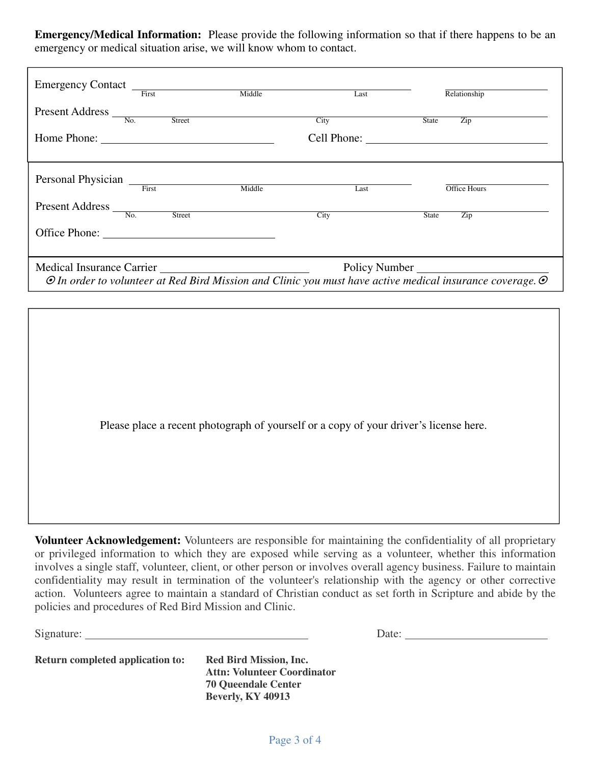**Emergency/Medical Information:** Please provide the following information so that if there happens to be an emergency or medical situation arise, we will know whom to contact.

| Emergency Contact First Middle                                                                                                         |        |  | Last |              | Relationship |
|----------------------------------------------------------------------------------------------------------------------------------------|--------|--|------|--------------|--------------|
| Present Address $\frac{1}{N_{0}}$                                                                                                      | Street |  | City | <b>State</b> | Zip          |
| Home Phone:                                                                                                                            |        |  |      |              |              |
| Personal Physician First Middle                                                                                                        |        |  | Last |              | Office Hours |
| Present Address No. Street                                                                                                             |        |  | City | State        | Zip          |
| Policy Number<br>$\odot$ In order to volunteer at Red Bird Mission and Clinic you must have active medical insurance coverage. $\odot$ |        |  |      |              |              |



**Volunteer Acknowledgement:** Volunteers are responsible for maintaining the confidentiality of all proprietary or privileged information to which they are exposed while serving as a volunteer, whether this information involves a single staff, volunteer, client, or other person or involves overall agency business. Failure to maintain confidentiality may result in termination of the volunteer's relationship with the agency or other corrective action. Volunteers agree to maintain a standard of Christian conduct as set forth in Scripture and abide by the policies and procedures of Red Bird Mission and Clinic.

Signature: Date: Date:

**Return completed application to: Red Bird Mission, Inc. Attn: Volunteer Coordinator 70 Queendale Center Beverly, KY 40913**